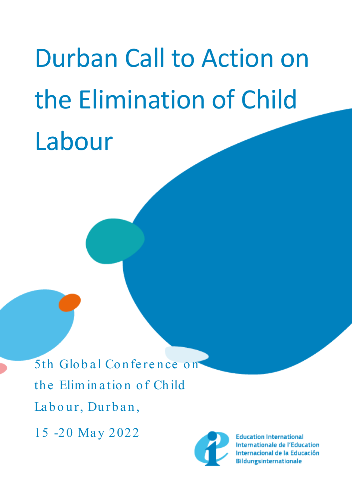# Durban Call to Action on the Elimination of Child Labour

5th Global Conference on the Elim in a tion of Child Labour, Durban, 15 -20 May 2022



**Education International** Internationale de l'Education Internacional de la Educación **Bildungsinternationale**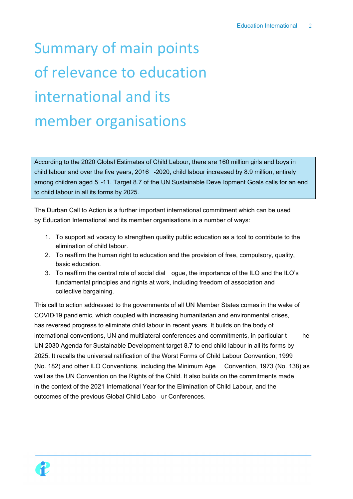## Summary of main points of relevance to education international and its member organisations

According to the 2020 Global Estimates of Child Labour, there are 160 million girls and boys in child labour and over the five years, 2016 -2020, child labour increased by 8.9 million, entirely among children aged 5 -11. Target 8.7 of the UN Sustainable Deve lopment Goals calls for an end to child labour in all its forms by 2025.

The Durban Call to Action is a further important international commitment which can be used by Education International and its member organisations in a number of ways:

- 1. To support ad vocacy to strengthen quality public education as a tool to contribute to the elimination of child labour.
- 2. To reaffirm the human right to education and the provision of free, compulsory, quality, basic education.
- 3. To reaffirm the central role of social dial ogue, the importance of the ILO and the ILO's fundamental principles and rights at work, including freedom of association and collective bargaining.

This call to action addressed to the governments of all UN Member States comes in the wake of COVID-19 pand emic, which coupled with increasing humanitarian and environmental crises, has reversed progress to eliminate child labour in recent years. It builds on the body of international conventions, UN and multilateral conferences and commitments, in particular t he UN 2030 Agenda for Sustainable Development target 8.7 to end child labour in all its forms by 2025. It recalls the universal ratification of the Worst Forms of Child Labour Convention, 1999 (No. 182) and other ILO Conventions, including the Minimum Age Convention, 1973 (No. 138) as well as the UN Convention on the Rights of the Child. It also builds on the commitments made in the context of the 2021 International Year for the Elimination of Child Labour, and the outcomes of the previous Global Child Labo ur Conferences.

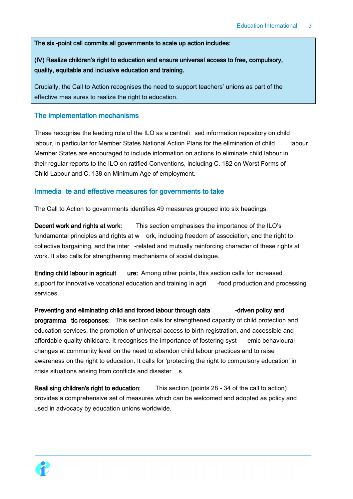#### The six -point call commits all governments to scale up action includes:

### (IV) Realize children's right to education and ensure universal access to free, compulsory, quality, equitable and inclusive education and training.

Crucially, the Call to Action recognises the need to support teachers' unions as part of the effective mea sures to realize the right to education.

#### The implementation mechanisms

These recognise the leading role of the ILO as a centrali sed information repository on child labour, in particular for Member States National Action Plans for the elimination of child labour. Member States are encouraged to include information on actions to eliminate child labour in their regular reports to the ILO on ratified Conventions, including C. 182 on Worst Forms of Child Labour and C. 138 on Minimum Age of employment.

#### Immedia te and effective measures for governments to take

The Call to Action to governments identifies 49 measures grouped into six headings:

Decent work and rights at work: This section emphasises the importance of the ILO's fundamental principles and rights at w ork, including freedom of association, and the right to collective bargaining, and the inter -related and mutually reinforcing character of these rights at work. It also calls for strengthening mechanisms of social dialogue.

Ending child labour in agricult ure: Among other points, this section calls for increased support for innovative vocational education and training in agri - food production and processing services.

Preventing and eliminating child and forced labour through data early -driven policy and programma tic responses: This section calls for strengthened capacity of child protection and education services, the promotion of universal access to birth registration, and accessible and affordable quality childcare. It recognises the importance of fostering syst emic behavioural changes at community level on the need to abandon child labour practices and to raise awareness on the right to education. It calls for 'protecting the right to compulsory education' in crisis situations arising from conflicts and disaster s.

Reali sing children's right to education: This section (points 28 - 34 of the call to action) provides a comprehensive set of measures which can be welcomed and adopted as policy and used in advocacy by education unions worldwide.

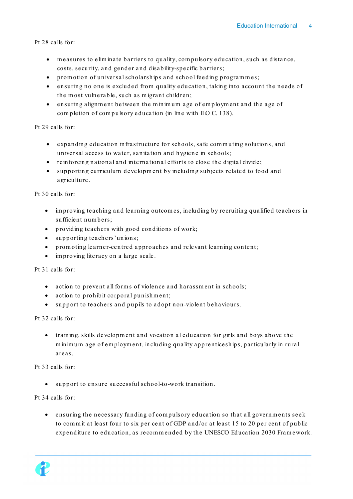Pt 28 calls for:

- m easures to elim inate barriers to quality, com pulsory education, such as distance, costs, security, and gender and disability-specific barriers;
- promotion of universal scholarships and school feeding programmes;
- ensuring no one is excluded from quality education, taking into account the needs of the m ost vulnerable, such as m igrant children;
- ensuring alignm ent between the m inim um age of em ploym ent and the age of com pletion of com pulsory education (in line with ILO C. 138).

Pt 29 calls for:

- expanding education infrastructure for schools, safe com m uting solutions, and universal access to water, sanitation and hygiene in schools;
- reinforcing national and international efforts to close the digital divide;
- supporting curriculum developm ent by including subjects related to food and agriculture.

Pt 30 calls for:

- im proving teaching and learning outcom es, including by recruiting qualified teachers in sufficient num bers;
- providing teachers with good conditions of work;
- supporting teachers' unions;
- prom oting learner-centred approaches and relevant learning content;
- im proving literacy on a large scale.

Pt 31 calls for:

- action to prevent all forms of violence and harassment in schools;
- action to prohibit corporal punishment;
- support to teachers and pupils to adopt non-violent behaviours.

Pt 32 calls for:

• training, skills developm ent and vocation al education for girls and boys above the m inim um age of em ploym ent, including quality apprenticeships, particularly in rural areas.

Pt 33 calls for:

• support to ensure successful school-to-work transition.

Pt 34 calls for:

• ensuring the necessary funding of com pulsory education so that all governm ents seek to commit at least four to six per cent of GDP and/or at least 15 to 20 per cent of public expenditure to education, as recom m ended by the UNESCO Education 2030 Fram ework.

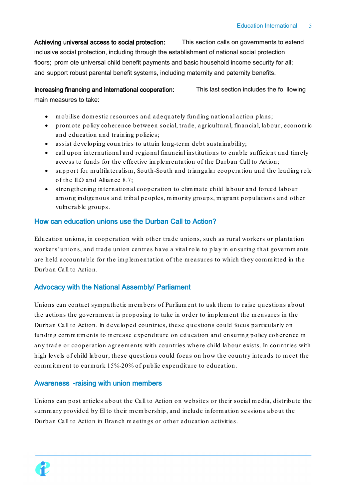Achieving universal access to social protection: This section calls on governments to extend inclusive social protection, including through the establishment of national social protection floors; prom ote universal child benefit payments and basic household income security for all; and support robust parental benefit systems, including maternity and paternity benefits.

Increasing financing and international cooperation: This last section includes the fo llowing main measures to take:

- m obilise dom estic resources and adequately funding national action plans;
- prom ote policy coherence between social, trade, agricultural, financial, labour, econom ic and education and training policies;
- assist developing countries to attain long-term debt sustainability;
- call upon international and regional financial institutions to enable sufficient and tim ely access to funds for the effective im plem entation of the Durban Call to Action;
- support for multilateralism, South-South and triangular cooperation and the leading role of the ILO and Alliance 8.7;
- strengthening international cooperation to elim inate child labour and forced labour am ong indigenous and tribal peoples, m inority groups, m igrant populations and other vulnerable groups.

#### How can education unions use the Durban Call to Action?

Education unions, in cooperation with other trade unions, such as rural workers or plantation workers' unions, and trade union centres have a vital role to play in ensuring that governm ents are held accountable for the implementation of the measures to which they committed in the Durban Call to Action.

### Advocacy with the National Assembly/ Parliament

Unions can contact sympathetic members of Parliament to ask them to raise questions about the actions the government is proposing to take in order to implement the measures in the Durban Call to Action. In developed countries, these questions could focus particularly on funding commitments to increase expenditure on education and ensuring policy coherence in any trade or cooperation agreem ents with countries where child labour exists. In countries with high levels of child labour, these questions could focus on how the country intends to m eet the com m itm ent to earm ark 15%-20% of public expenditure to education.

### Awareness -raising with union members

Unions can post articles about the Call to Action on websites or their social m edia, distribute the sum m ary provided by EI to their m em bership, and include inform ation sessions about the Durban Call to Action in Branch m eetings or other education activities.